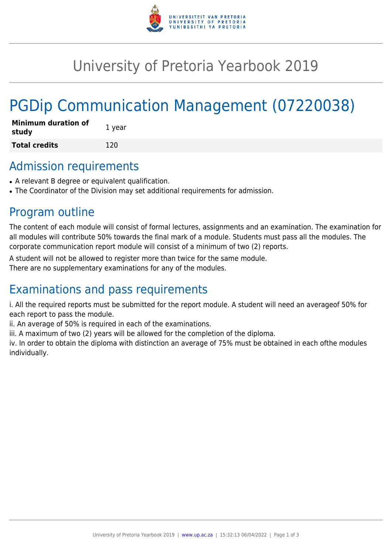

## University of Pretoria Yearbook 2019

# PGDip Communication Management (07220038)

| <b>Minimum duration of</b><br>study | 1 year |
|-------------------------------------|--------|
| <b>Total credits</b>                | 120    |

## Admission requirements

- A relevant B degree or equivalent qualification.
- The Coordinator of the Division may set additional requirements for admission.

### Program outline

The content of each module will consist of formal lectures, assignments and an examination. The examination for all modules will contribute 50% towards the final mark of a module. Students must pass all the modules. The corporate communication report module will consist of a minimum of two (2) reports.

A student will not be allowed to register more than twice for the same module.

There are no supplementary examinations for any of the modules.

## Examinations and pass requirements

i. All the required reports must be submitted for the report module. A student will need an averageof 50% for each report to pass the module.

ii. An average of 50% is required in each of the examinations.

iii. A maximum of two (2) years will be allowed for the completion of the diploma.

iv. In order to obtain the diploma with distinction an average of 75% must be obtained in each ofthe modules individually.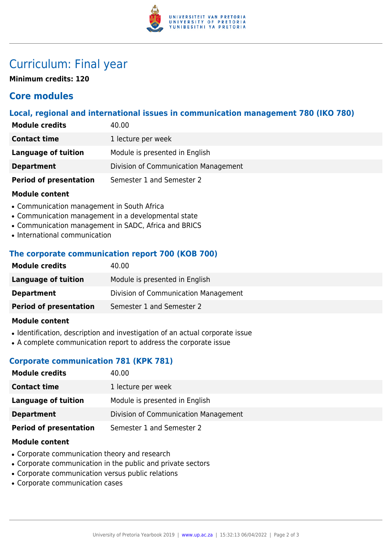

## Curriculum: Final year

**Minimum credits: 120**

#### **Core modules**

#### **Local, regional and international issues in communication management 780 (IKO 780)**

| <b>Module credits</b>         | 40.00                                |
|-------------------------------|--------------------------------------|
| <b>Contact time</b>           | 1 lecture per week                   |
| Language of tuition           | Module is presented in English       |
| <b>Department</b>             | Division of Communication Management |
| <b>Period of presentation</b> | Semester 1 and Semester 2            |

#### **Module content**

- Communication management in South Africa
- Communication management in a developmental state
- Communication management in SADC, Africa and BRICS
- International communication

#### **The corporate communication report 700 (KOB 700)**

| <b>Module credits</b>         | 40.00                                |
|-------------------------------|--------------------------------------|
| Language of tuition           | Module is presented in English       |
| <b>Department</b>             | Division of Communication Management |
| <b>Period of presentation</b> | Semester 1 and Semester 2            |
|                               |                                      |

#### **Module content**

- Identification, description and investigation of an actual corporate issue
- A complete communication report to address the corporate issue

#### **Corporate communication 781 (KPK 781)**

| <b>Module credits</b>         | 40.00                                |
|-------------------------------|--------------------------------------|
| <b>Contact time</b>           | 1 lecture per week                   |
| Language of tuition           | Module is presented in English       |
| <b>Department</b>             | Division of Communication Management |
| <b>Period of presentation</b> | Semester 1 and Semester 2            |
|                               |                                      |

#### **Module content**

- Corporate communication theory and research
- Corporate communication in the public and private sectors
- Corporate communication versus public relations
- Corporate communication cases